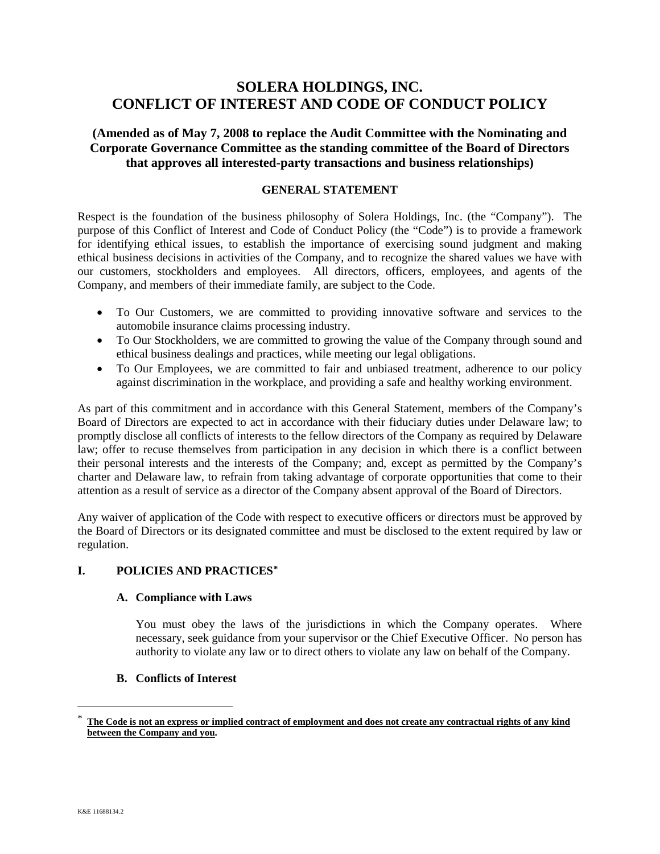# **SOLERA HOLDINGS, INC. CONFLICT OF INTEREST AND CODE OF CONDUCT POLICY**

**(Amended as of May 7, 2008 to replace the Audit Committee with the Nominating and Corporate Governance Committee as the standing committee of the Board of Directors that approves all interested-party transactions and business relationships)**

### **GENERAL STATEMENT**

Respect is the foundation of the business philosophy of Solera Holdings, Inc. (the "Company"). The purpose of this Conflict of Interest and Code of Conduct Policy (the "Code") is to provide a framework for identifying ethical issues, to establish the importance of exercising sound judgment and making ethical business decisions in activities of the Company, and to recognize the shared values we have with our customers, stockholders and employees. All directors, officers, employees, and agents of the Company, and members of their immediate family, are subject to the Code.

- To Our Customers, we are committed to providing innovative software and services to the automobile insurance claims processing industry.
- To Our Stockholders, we are committed to growing the value of the Company through sound and ethical business dealings and practices, while meeting our legal obligations.
- To Our Employees, we are committed to fair and unbiased treatment, adherence to our policy against discrimination in the workplace, and providing a safe and healthy working environment.

As part of this commitment and in accordance with this General Statement, members of the Company's Board of Directors are expected to act in accordance with their fiduciary duties under Delaware law; to promptly disclose all conflicts of interests to the fellow directors of the Company as required by Delaware law; offer to recuse themselves from participation in any decision in which there is a conflict between their personal interests and the interests of the Company; and, except as permitted by the Company's charter and Delaware law, to refrain from taking advantage of corporate opportunities that come to their attention as a result of service as a director of the Company absent approval of the Board of Directors.

Any waiver of application of the Code with respect to executive officers or directors must be approved by the Board of Directors or its designated committee and must be disclosed to the extent required by law or regulation.

### **I. POLICIES AND PRACTICES[\\*](#page-0-0)**

#### **A. Compliance with Laws**

You must obey the laws of the jurisdictions in which the Company operates. Where necessary, seek guidance from your supervisor or the Chief Executive Officer. No person has authority to violate any law or to direct others to violate any law on behalf of the Company.

### **B. Conflicts of Interest**

<span id="page-0-0"></span> <sup>\*</sup> **The Code is not an express or implied contract of employment and does not create any contractual rights of any kind between the Company and you.**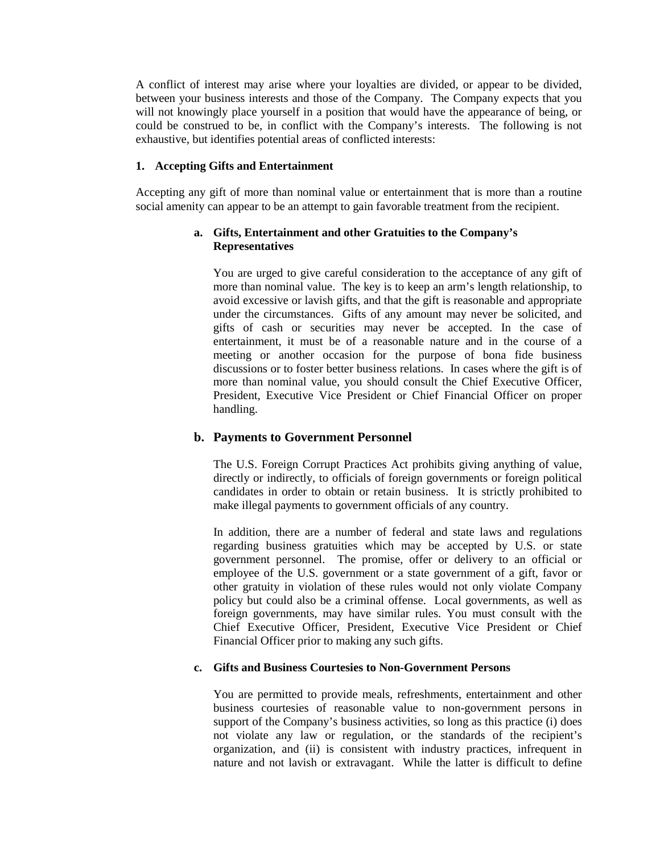A conflict of interest may arise where your loyalties are divided, or appear to be divided, between your business interests and those of the Company. The Company expects that you will not knowingly place yourself in a position that would have the appearance of being, or could be construed to be, in conflict with the Company's interests. The following is not exhaustive, but identifies potential areas of conflicted interests:

### **1. Accepting Gifts and Entertainment**

Accepting any gift of more than nominal value or entertainment that is more than a routine social amenity can appear to be an attempt to gain favorable treatment from the recipient.

### **a. Gifts, Entertainment and other Gratuities to the Company's Representatives**

You are urged to give careful consideration to the acceptance of any gift of more than nominal value. The key is to keep an arm's length relationship, to avoid excessive or lavish gifts, and that the gift is reasonable and appropriate under the circumstances. Gifts of any amount may never be solicited, and gifts of cash or securities may never be accepted. In the case of entertainment, it must be of a reasonable nature and in the course of a meeting or another occasion for the purpose of bona fide business discussions or to foster better business relations. In cases where the gift is of more than nominal value, you should consult the Chief Executive Officer, President, Executive Vice President or Chief Financial Officer on proper handling.

### **b. Payments to Government Personnel**

The U.S. Foreign Corrupt Practices Act prohibits giving anything of value, directly or indirectly, to officials of foreign governments or foreign political candidates in order to obtain or retain business. It is strictly prohibited to make illegal payments to government officials of any country.

In addition, there are a number of federal and state laws and regulations regarding business gratuities which may be accepted by U.S. or state government personnel. The promise, offer or delivery to an official or employee of the U.S. government or a state government of a gift, favor or other gratuity in violation of these rules would not only violate Company policy but could also be a criminal offense. Local governments, as well as foreign governments, may have similar rules. You must consult with the Chief Executive Officer, President, Executive Vice President or Chief Financial Officer prior to making any such gifts.

### **c. Gifts and Business Courtesies to Non-Government Persons**

You are permitted to provide meals, refreshments, entertainment and other business courtesies of reasonable value to non-government persons in support of the Company's business activities, so long as this practice (i) does not violate any law or regulation, or the standards of the recipient's organization, and (ii) is consistent with industry practices, infrequent in nature and not lavish or extravagant. While the latter is difficult to define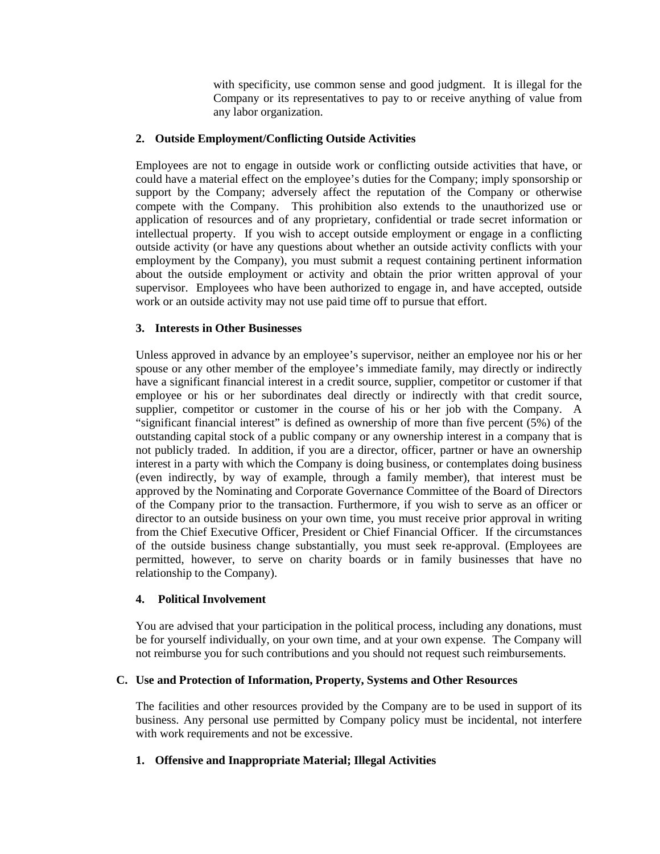with specificity, use common sense and good judgment. It is illegal for the Company or its representatives to pay to or receive anything of value from any labor organization.

### **2. Outside Employment/Conflicting Outside Activities**

Employees are not to engage in outside work or conflicting outside activities that have, or could have a material effect on the employee's duties for the Company; imply sponsorship or support by the Company; adversely affect the reputation of the Company or otherwise compete with the Company. This prohibition also extends to the unauthorized use or application of resources and of any proprietary, confidential or trade secret information or intellectual property. If you wish to accept outside employment or engage in a conflicting outside activity (or have any questions about whether an outside activity conflicts with your employment by the Company), you must submit a request containing pertinent information about the outside employment or activity and obtain the prior written approval of your supervisor. Employees who have been authorized to engage in, and have accepted, outside work or an outside activity may not use paid time off to pursue that effort.

### **3. Interests in Other Businesses**

Unless approved in advance by an employee's supervisor, neither an employee nor his or her spouse or any other member of the employee's immediate family, may directly or indirectly have a significant financial interest in a credit source, supplier, competitor or customer if that employee or his or her subordinates deal directly or indirectly with that credit source, supplier, competitor or customer in the course of his or her job with the Company. A "significant financial interest" is defined as ownership of more than five percent (5%) of the outstanding capital stock of a public company or any ownership interest in a company that is not publicly traded. In addition, if you are a director, officer, partner or have an ownership interest in a party with which the Company is doing business, or contemplates doing business (even indirectly, by way of example, through a family member), that interest must be approved by the Nominating and Corporate Governance Committee of the Board of Directors of the Company prior to the transaction. Furthermore, if you wish to serve as an officer or director to an outside business on your own time, you must receive prior approval in writing from the Chief Executive Officer, President or Chief Financial Officer. If the circumstances of the outside business change substantially, you must seek re-approval. (Employees are permitted, however, to serve on charity boards or in family businesses that have no relationship to the Company).

### **4. Political Involvement**

You are advised that your participation in the political process, including any donations, must be for yourself individually, on your own time, and at your own expense. The Company will not reimburse you for such contributions and you should not request such reimbursements.

### **C. Use and Protection of Information, Property, Systems and Other Resources**

The facilities and other resources provided by the Company are to be used in support of its business. Any personal use permitted by Company policy must be incidental, not interfere with work requirements and not be excessive.

## **1. Offensive and Inappropriate Material; Illegal Activities**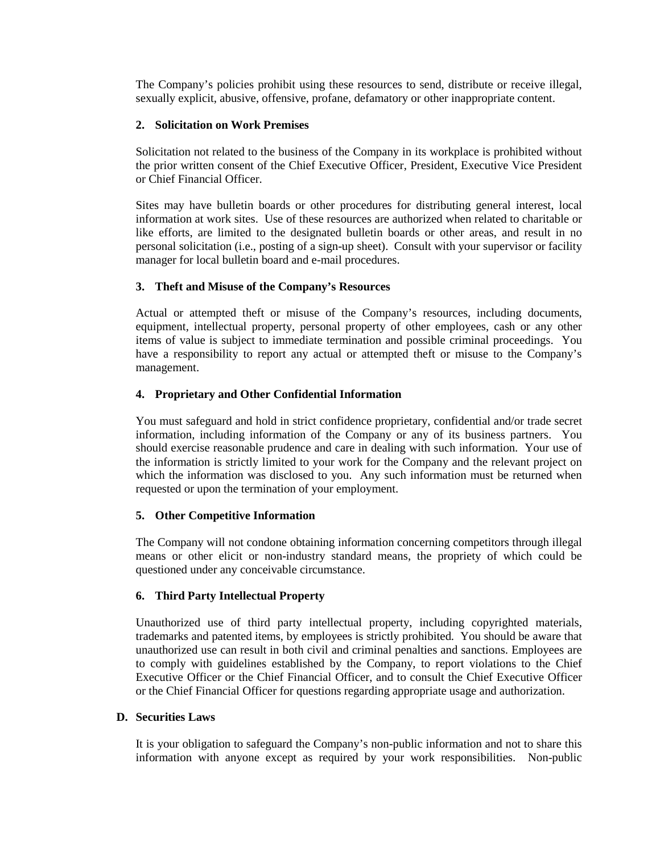The Company's policies prohibit using these resources to send, distribute or receive illegal, sexually explicit, abusive, offensive, profane, defamatory or other inappropriate content.

### **2. Solicitation on Work Premises**

Solicitation not related to the business of the Company in its workplace is prohibited without the prior written consent of the Chief Executive Officer, President, Executive Vice President or Chief Financial Officer.

Sites may have bulletin boards or other procedures for distributing general interest, local information at work sites. Use of these resources are authorized when related to charitable or like efforts, are limited to the designated bulletin boards or other areas, and result in no personal solicitation (i.e., posting of a sign-up sheet). Consult with your supervisor or facility manager for local bulletin board and e-mail procedures.

#### **3. Theft and Misuse of the Company's Resources**

Actual or attempted theft or misuse of the Company's resources, including documents, equipment, intellectual property, personal property of other employees, cash or any other items of value is subject to immediate termination and possible criminal proceedings. You have a responsibility to report any actual or attempted theft or misuse to the Company's management.

#### **4. Proprietary and Other Confidential Information**

You must safeguard and hold in strict confidence proprietary, confidential and/or trade secret information, including information of the Company or any of its business partners. You should exercise reasonable prudence and care in dealing with such information. Your use of the information is strictly limited to your work for the Company and the relevant project on which the information was disclosed to you. Any such information must be returned when requested or upon the termination of your employment.

### **5. Other Competitive Information**

The Company will not condone obtaining information concerning competitors through illegal means or other elicit or non-industry standard means, the propriety of which could be questioned under any conceivable circumstance.

### **6. Third Party Intellectual Property**

Unauthorized use of third party intellectual property, including copyrighted materials, trademarks and patented items, by employees is strictly prohibited. You should be aware that unauthorized use can result in both civil and criminal penalties and sanctions. Employees are to comply with guidelines established by the Company, to report violations to the Chief Executive Officer or the Chief Financial Officer, and to consult the Chief Executive Officer or the Chief Financial Officer for questions regarding appropriate usage and authorization.

### **D. Securities Laws**

It is your obligation to safeguard the Company's non-public information and not to share this information with anyone except as required by your work responsibilities. Non-public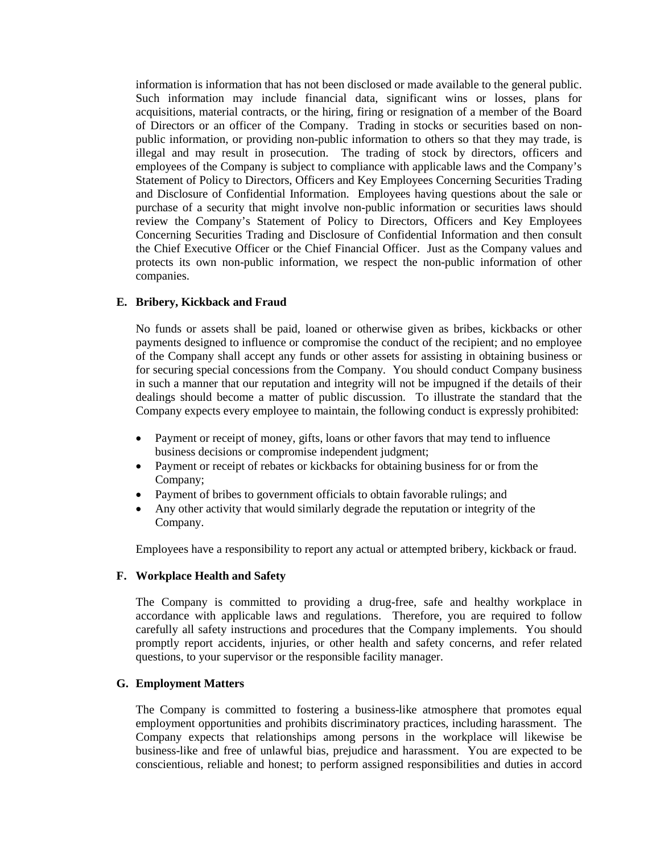information is information that has not been disclosed or made available to the general public. Such information may include financial data, significant wins or losses, plans for acquisitions, material contracts, or the hiring, firing or resignation of a member of the Board of Directors or an officer of the Company. Trading in stocks or securities based on nonpublic information, or providing non-public information to others so that they may trade, is illegal and may result in prosecution. The trading of stock by directors, officers and employees of the Company is subject to compliance with applicable laws and the Company's Statement of Policy to Directors, Officers and Key Employees Concerning Securities Trading and Disclosure of Confidential Information. Employees having questions about the sale or purchase of a security that might involve non-public information or securities laws should review the Company's Statement of Policy to Directors, Officers and Key Employees Concerning Securities Trading and Disclosure of Confidential Information and then consult the Chief Executive Officer or the Chief Financial Officer. Just as the Company values and protects its own non-public information, we respect the non-public information of other companies.

### **E. Bribery, Kickback and Fraud**

No funds or assets shall be paid, loaned or otherwise given as bribes, kickbacks or other payments designed to influence or compromise the conduct of the recipient; and no employee of the Company shall accept any funds or other assets for assisting in obtaining business or for securing special concessions from the Company. You should conduct Company business in such a manner that our reputation and integrity will not be impugned if the details of their dealings should become a matter of public discussion. To illustrate the standard that the Company expects every employee to maintain, the following conduct is expressly prohibited:

- Payment or receipt of money, gifts, loans or other favors that may tend to influence business decisions or compromise independent judgment;
- Payment or receipt of rebates or kickbacks for obtaining business for or from the Company;
- Payment of bribes to government officials to obtain favorable rulings; and
- Any other activity that would similarly degrade the reputation or integrity of the Company.

Employees have a responsibility to report any actual or attempted bribery, kickback or fraud.

#### **F. Workplace Health and Safety**

The Company is committed to providing a drug-free, safe and healthy workplace in accordance with applicable laws and regulations. Therefore, you are required to follow carefully all safety instructions and procedures that the Company implements. You should promptly report accidents, injuries, or other health and safety concerns, and refer related questions, to your supervisor or the responsible facility manager.

#### **G. Employment Matters**

The Company is committed to fostering a business-like atmosphere that promotes equal employment opportunities and prohibits discriminatory practices, including harassment. The Company expects that relationships among persons in the workplace will likewise be business-like and free of unlawful bias, prejudice and harassment. You are expected to be conscientious, reliable and honest; to perform assigned responsibilities and duties in accord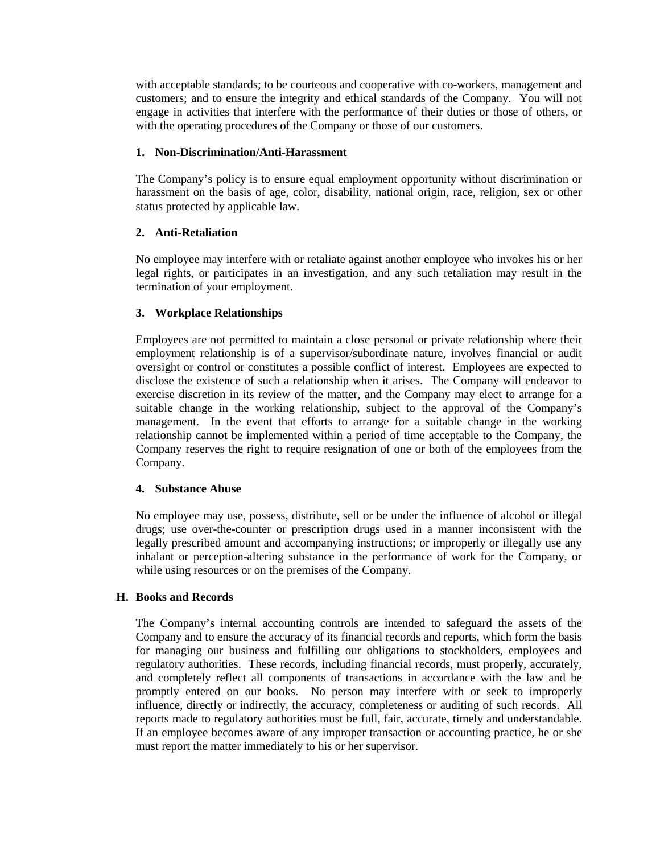with acceptable standards; to be courteous and cooperative with co-workers, management and customers; and to ensure the integrity and ethical standards of the Company. You will not engage in activities that interfere with the performance of their duties or those of others, or with the operating procedures of the Company or those of our customers.

### **1. Non-Discrimination/Anti-Harassment**

The Company's policy is to ensure equal employment opportunity without discrimination or harassment on the basis of age, color, disability, national origin, race, religion, sex or other status protected by applicable law.

### **2. Anti-Retaliation**

No employee may interfere with or retaliate against another employee who invokes his or her legal rights, or participates in an investigation, and any such retaliation may result in the termination of your employment.

### **3. Workplace Relationships**

Employees are not permitted to maintain a close personal or private relationship where their employment relationship is of a supervisor/subordinate nature, involves financial or audit oversight or control or constitutes a possible conflict of interest. Employees are expected to disclose the existence of such a relationship when it arises. The Company will endeavor to exercise discretion in its review of the matter, and the Company may elect to arrange for a suitable change in the working relationship, subject to the approval of the Company's management. In the event that efforts to arrange for a suitable change in the working relationship cannot be implemented within a period of time acceptable to the Company, the Company reserves the right to require resignation of one or both of the employees from the Company.

### **4. Substance Abuse**

No employee may use, possess, distribute, sell or be under the influence of alcohol or illegal drugs; use over-the-counter or prescription drugs used in a manner inconsistent with the legally prescribed amount and accompanying instructions; or improperly or illegally use any inhalant or perception-altering substance in the performance of work for the Company, or while using resources or on the premises of the Company.

### **H. Books and Records**

The Company's internal accounting controls are intended to safeguard the assets of the Company and to ensure the accuracy of its financial records and reports, which form the basis for managing our business and fulfilling our obligations to stockholders, employees and regulatory authorities. These records, including financial records, must properly, accurately, and completely reflect all components of transactions in accordance with the law and be promptly entered on our books. No person may interfere with or seek to improperly influence, directly or indirectly, the accuracy, completeness or auditing of such records. All reports made to regulatory authorities must be full, fair, accurate, timely and understandable. If an employee becomes aware of any improper transaction or accounting practice, he or she must report the matter immediately to his or her supervisor.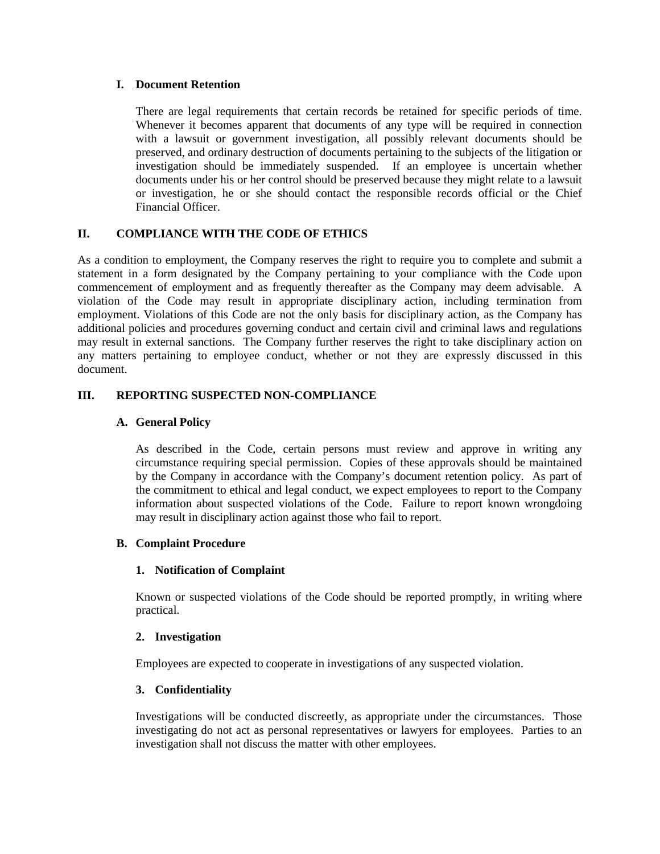### **I. Document Retention**

There are legal requirements that certain records be retained for specific periods of time. Whenever it becomes apparent that documents of any type will be required in connection with a lawsuit or government investigation, all possibly relevant documents should be preserved, and ordinary destruction of documents pertaining to the subjects of the litigation or investigation should be immediately suspended. If an employee is uncertain whether documents under his or her control should be preserved because they might relate to a lawsuit or investigation, he or she should contact the responsible records official or the Chief Financial Officer.

### **II. COMPLIANCE WITH THE CODE OF ETHICS**

As a condition to employment, the Company reserves the right to require you to complete and submit a statement in a form designated by the Company pertaining to your compliance with the Code upon commencement of employment and as frequently thereafter as the Company may deem advisable. A violation of the Code may result in appropriate disciplinary action, including termination from employment. Violations of this Code are not the only basis for disciplinary action, as the Company has additional policies and procedures governing conduct and certain civil and criminal laws and regulations may result in external sanctions. The Company further reserves the right to take disciplinary action on any matters pertaining to employee conduct, whether or not they are expressly discussed in this document.

### **III. REPORTING SUSPECTED NON-COMPLIANCE**

### **A. General Policy**

As described in the Code, certain persons must review and approve in writing any circumstance requiring special permission. Copies of these approvals should be maintained by the Company in accordance with the Company's document retention policy. As part of the commitment to ethical and legal conduct, we expect employees to report to the Company information about suspected violations of the Code. Failure to report known wrongdoing may result in disciplinary action against those who fail to report.

### **B. Complaint Procedure**

### **1. Notification of Complaint**

Known or suspected violations of the Code should be reported promptly, in writing where practical.

#### **2. Investigation**

Employees are expected to cooperate in investigations of any suspected violation.

### **3. Confidentiality**

Investigations will be conducted discreetly, as appropriate under the circumstances. Those investigating do not act as personal representatives or lawyers for employees. Parties to an investigation shall not discuss the matter with other employees.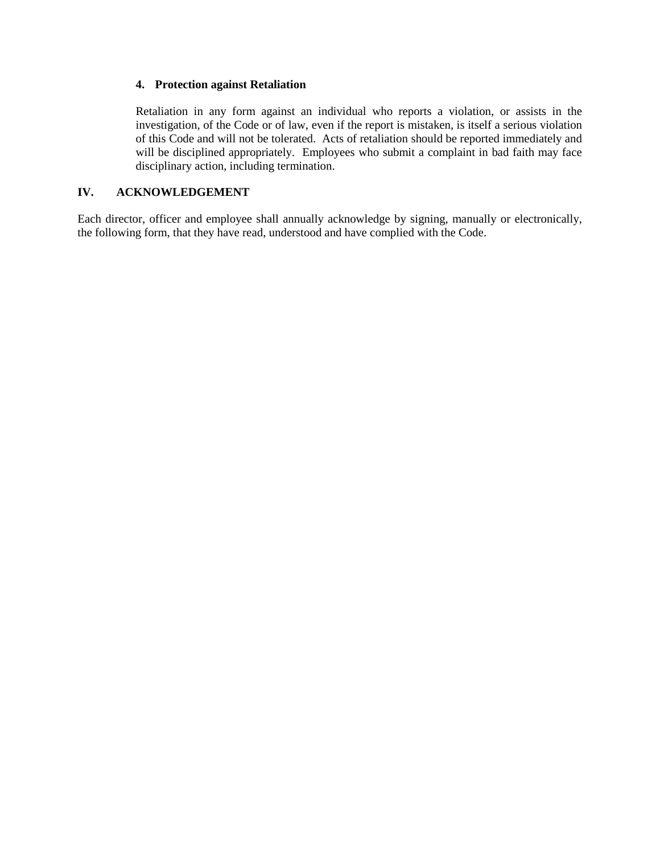### **4. Protection against Retaliation**

Retaliation in any form against an individual who reports a violation, or assists in the investigation, of the Code or of law, even if the report is mistaken, is itself a serious violation of this Code and will not be tolerated. Acts of retaliation should be reported immediately and will be disciplined appropriately. Employees who submit a complaint in bad faith may face disciplinary action, including termination.

### **IV. ACKNOWLEDGEMENT**

Each director, officer and employee shall annually acknowledge by signing, manually or electronically, the following form, that they have read, understood and have complied with the Code.